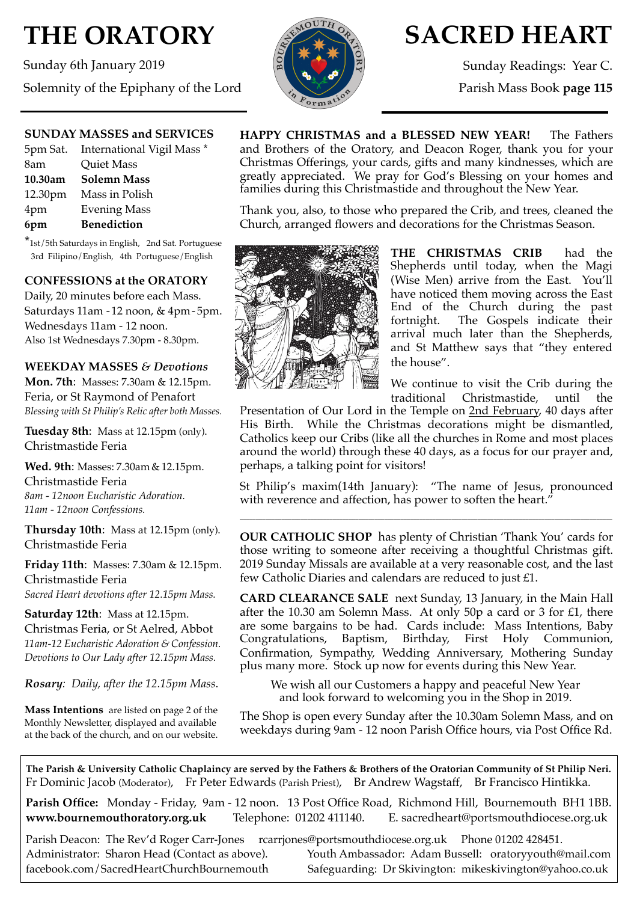# **THE ORATORY**

Sunday 6th January 2019 Solemnity of the Epiphany of the Lord



## **SACRED HEART**

Sunday Readings: Year C.

Parish Mass Book **page 115**

#### **SUNDAY MASSES and SERVICES**

|         | 5pm Sat. International Vigil Mass * |
|---------|-------------------------------------|
| 8am     | <b>Quiet Mass</b>                   |
| 10.30am | <b>Solemn Mass</b>                  |
| 12.30pm | Mass in Polish                      |
| 4pm     | <b>Evening Mass</b>                 |
| 6pm     | <b>Benediction</b>                  |
|         |                                     |

\*1st/5th Saturdays in English, 2nd Sat. Portuguese 3rd Filipino/English, 4th Portuguese/English

### **CONFESSIONS at the ORATORY**

Daily, 20 minutes before each Mass. Saturdays 11am - 12 noon, & 4pm- 5pm. Wednesdays 11am - 12 noon. Also 1st Wednesdays 7.30pm - 8.30pm.

#### **WEEKDAY MASSES** *& Devotions*

**Mon. 7th**: Masses: 7.30am & 12.15pm. Feria, or St Raymond of Penafort *Blessing with St Philip's Relic after both Masses.*

**Tuesday 8th**: Mass at 12.15pm (only). Christmastide Feria

**Wed. 9th**: Masses: 7.30am & 12.15pm. Christmastide Feria *8am - 12noon Eucharistic Adoration. 11am - 12noon Confessions.*

**Thursday 10th**: Mass at 12.15pm (only). Christmastide Feria

**Friday 11th**: Masses: 7.30am & 12.15pm. Christmastide Feria *Sacred Heart devotions after 12.15pm Mass.*

**Saturday 12th**: Mass at 12.15pm. Christmas Feria, or St Aelred, Abbot *11am-12 Eucharistic Adoration & Confession. Devotions to Our Lady after 12.15pm Mass.*

*Rosary: Daily, after the 12.15pm Mass*.

**Mass Intentions** are listed on page 2 of the Monthly Newsletter, displayed and available at the back of the church, and on our website. **HAPPY CHRISTMAS and a BLESSED NEW YEAR!** The Fathers and Brothers of the Oratory, and Deacon Roger, thank you for your Christmas Offerings, your cards, gifts and many kindnesses, which are greatly appreciated. We pray for God's Blessing on your homes and families during this Christmastide and throughout the New Year.

Thank you, also, to those who prepared the Crib, and trees, cleaned the Church, arranged flowers and decorations for the Christmas Season.



**THE CHRISTMAS CRIB** had the Shepherds until today, when the Magi (Wise Men) arrive from the East. You'll have noticed them moving across the East End of the Church during the past fortnight. The Gospels indicate their arrival much later than the Shepherds, and St Matthew says that "they entered the house".

We continue to visit the Crib during the traditional Christmastide, until the

Presentation of Our Lord in the Temple on 2nd February, 40 days after His Birth. While the Christmas decorations might be dismantled, Catholics keep our Cribs (like all the churches in Rome and most places around the world) through these 40 days, as a focus for our prayer and, perhaps, a talking point for visitors!

St Philip's maxim(14th January): "The name of Jesus, pronounced with reverence and affection, has power to soften the heart."

\_\_\_\_\_\_\_\_\_\_\_\_\_\_\_\_\_\_\_\_\_\_\_\_\_\_\_\_\_\_\_\_\_\_\_\_\_\_\_\_\_\_\_\_\_\_\_\_\_\_\_\_\_\_\_\_\_\_\_\_\_\_\_\_\_\_\_\_\_\_\_\_\_\_\_\_\_\_\_\_\_\_\_\_\_\_\_\_\_\_\_\_\_\_\_\_\_\_\_\_\_\_\_\_\_\_\_\_\_\_\_\_\_\_\_\_

**OUR CATHOLIC SHOP** has plenty of Christian 'Thank You' cards for those writing to someone after receiving a thoughtful Christmas gift. 2019 Sunday Missals are available at a very reasonable cost, and the last few Catholic Diaries and calendars are reduced to just £1.

**CARD CLEARANCE SALE** next Sunday, 13 January, in the Main Hall after the 10.30 am Solemn Mass. At only 50p a card or 3 for £1, there are some bargains to be had. Cards include: Mass Intentions, Baby Baptism, Birthday, First Holy Communion, Confirmation, Sympathy, Wedding Anniversary, Mothering Sunday plus many more. Stock up now for events during this New Year.

We wish all our Customers a happy and peaceful New Year and look forward to welcoming you in the Shop in 2019.

The Shop is open every Sunday after the 10.30am Solemn Mass, and on weekdays during 9am - 12 noon Parish Office hours, via Post Office Rd.

**The Parish & University Catholic Chaplaincy are served by the Fathers & Brothers of the Oratorian Community of St Philip Neri.** Fr Dominic Jacob (Moderator), Fr Peter Edwards (Parish Priest), Br Andrew Wagstaff, Br Francisco Hintikka.

**Parish Office:** Monday - Friday, 9am - 12 noon. 13 Post Office Road, Richmond Hill, Bournemouth BH1 1BB. **[www.bournemouthoratory.org.uk](http://www.bournemoithoratory.org.uk)** Telephone: 01202 411140. E. [sacredheart@portsmouthdiocese.org.uk](mailto:sacredheart@portsmouthdiocese.org.uk)

Parish Deacon: The Rev'd Roger Carr-Jones [rcarrjones@portsmouthdiocese.org.uk](mailto:rcarrjones@portsmouthdiocese.org.uk) Phone 01202 428451.

Administrator: Sharon Head (Contact as above). Youth Ambassador: Adam Bussell: [oratoryyouth@mail.com](http://oratoryyouth.mail.com) [facebook.com/SacredHeartChurchBournemouth](http://facebook.com/SaccredHeartChurchBournemouth) Safeguarding: Dr Skivington: mikeskivington@yahoo.co.uk